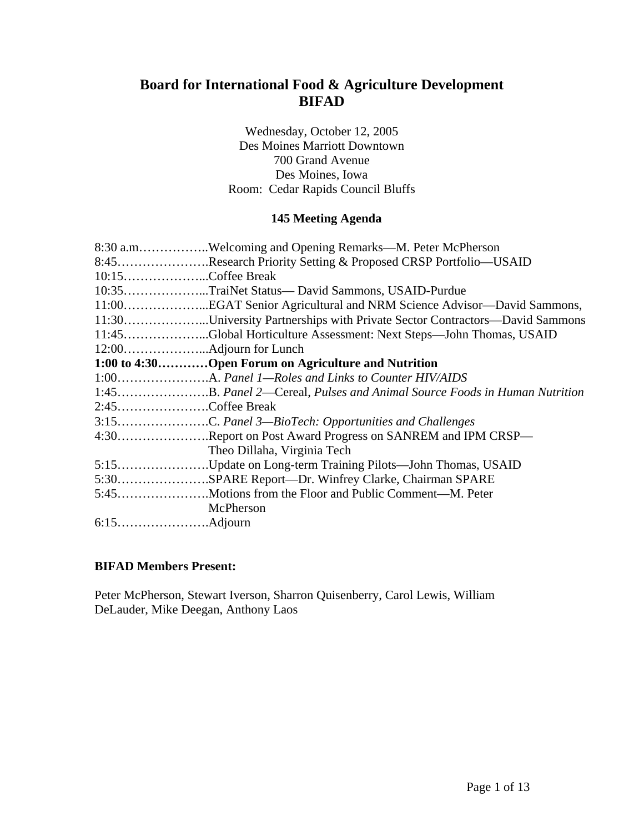# **Board for International Food & Agriculture Development BIFAD**

Wednesday, October 12, 2005 Des Moines Marriott Downtown 700 Grand Avenue Des Moines, Iowa Room: Cedar Rapids Council Bluffs

### **145 Meeting Agenda**

|                   | 8:30 a.mWelcoming and Opening Remarks—M. Peter McPherson                   |
|-------------------|----------------------------------------------------------------------------|
|                   | 8:45Research Priority Setting & Proposed CRSP Portfolio—USAID              |
| 10:15Coffee Break |                                                                            |
|                   | 10:35TraiNet Status— David Sammons, USAID-Purdue                           |
|                   |                                                                            |
|                   | 11:30University Partnerships with Private Sector Contractors—David Sammons |
|                   | 11:45Global Horticulture Assessment: Next Steps—John Thomas, USAID         |
|                   |                                                                            |
|                   | 1:00 to 4:30Open Forum on Agriculture and Nutrition                        |
|                   |                                                                            |
|                   |                                                                            |
| 2:45Coffee Break  |                                                                            |
|                   | 3:15C. Panel 3-BioTech: Opportunities and Challenges                       |
|                   | 4:30Report on Post Award Progress on SANREM and IPM CRSP—                  |
|                   | Theo Dillaha, Virginia Tech                                                |
|                   | 5:15Update on Long-term Training Pilots—John Thomas, USAID                 |
|                   | 5:30SPARE Report---Dr. Winfrey Clarke, Chairman SPARE                      |
|                   |                                                                            |
|                   | McPherson                                                                  |
|                   |                                                                            |

#### **BIFAD Members Present:**

Peter McPherson, Stewart Iverson, Sharron Quisenberry, Carol Lewis, William DeLauder, Mike Deegan, Anthony Laos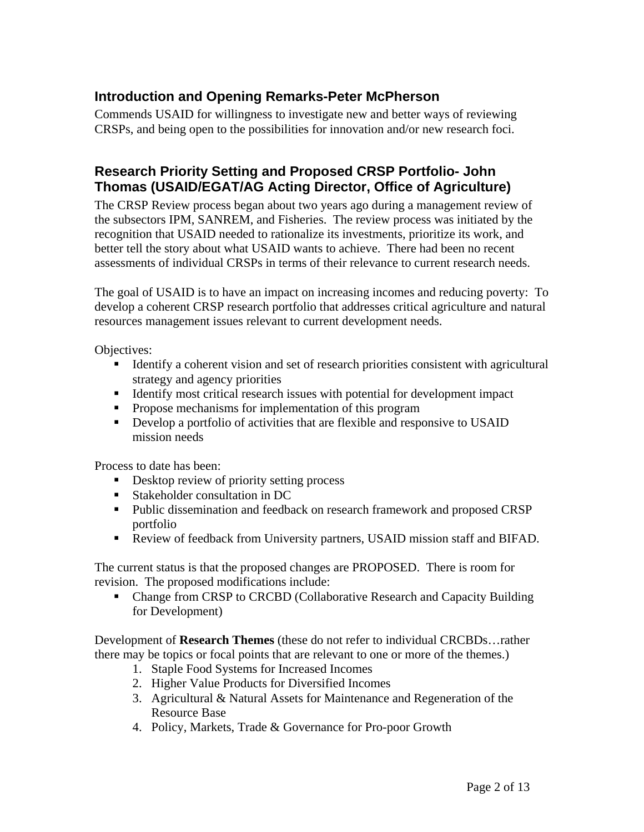## **Introduction and Opening Remarks-Peter McPherson**

Commends USAID for willingness to investigate new and better ways of reviewing CRSPs, and being open to the possibilities for innovation and/or new research foci.

## **Research Priority Setting and Proposed CRSP Portfolio- John Thomas (USAID/EGAT/AG Acting Director, Office of Agriculture)**

The CRSP Review process began about two years ago during a management review of the subsectors IPM, SANREM, and Fisheries. The review process was initiated by the recognition that USAID needed to rationalize its investments, prioritize its work, and better tell the story about what USAID wants to achieve. There had been no recent assessments of individual CRSPs in terms of their relevance to current research needs.

The goal of USAID is to have an impact on increasing incomes and reducing poverty: To develop a coherent CRSP research portfolio that addresses critical agriculture and natural resources management issues relevant to current development needs.

Objectives:

- Identify a coherent vision and set of research priorities consistent with agricultural strategy and agency priorities
- Identify most critical research issues with potential for development impact
- **•** Propose mechanisms for implementation of this program
- Develop a portfolio of activities that are flexible and responsive to USAID mission needs

Process to date has been:

- Desktop review of priority setting process
- **Stakeholder consultation in DC**
- Public dissemination and feedback on research framework and proposed CRSP portfolio
- Review of feedback from University partners, USAID mission staff and BIFAD.

The current status is that the proposed changes are PROPOSED. There is room for revision. The proposed modifications include:

 Change from CRSP to CRCBD (Collaborative Research and Capacity Building for Development)

Development of **Research Themes** (these do not refer to individual CRCBDs…rather there may be topics or focal points that are relevant to one or more of the themes.)

- 1. Staple Food Systems for Increased Incomes
- 2. Higher Value Products for Diversified Incomes
- 3. Agricultural & Natural Assets for Maintenance and Regeneration of the Resource Base
- 4. Policy, Markets, Trade & Governance for Pro-poor Growth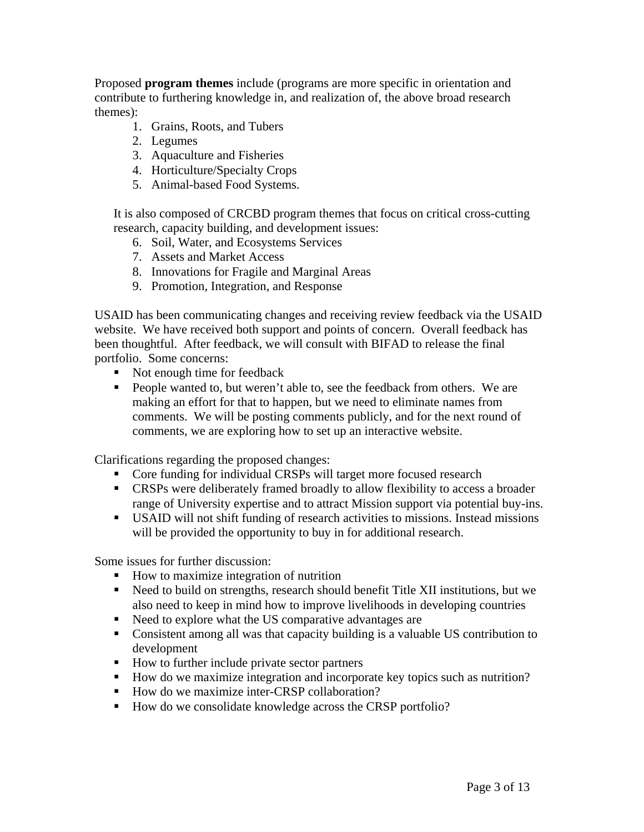Proposed **program themes** include (programs are more specific in orientation and contribute to furthering knowledge in, and realization of, the above broad research themes):

- 1. Grains, Roots, and Tubers
- 2. Legumes
- 3. Aquaculture and Fisheries
- 4. Horticulture/Specialty Crops
- 5. Animal-based Food Systems.

It is also composed of CRCBD program themes that focus on critical cross-cutting research, capacity building, and development issues:

- 6. Soil, Water, and Ecosystems Services
- 7. Assets and Market Access
- 8. Innovations for Fragile and Marginal Areas
- 9. Promotion, Integration, and Response

USAID has been communicating changes and receiving review feedback via the USAID website. We have received both support and points of concern. Overall feedback has been thoughtful. After feedback, we will consult with BIFAD to release the final portfolio. Some concerns:

- Not enough time for feedback
- People wanted to, but weren't able to, see the feedback from others. We are making an effort for that to happen, but we need to eliminate names from comments. We will be posting comments publicly, and for the next round of comments, we are exploring how to set up an interactive website.

Clarifications regarding the proposed changes:

- Core funding for individual CRSPs will target more focused research
- CRSPs were deliberately framed broadly to allow flexibility to access a broader range of University expertise and to attract Mission support via potential buy-ins.
- USAID will not shift funding of research activities to missions. Instead missions will be provided the opportunity to buy in for additional research.

Some issues for further discussion:

- How to maximize integration of nutrition
- Need to build on strengths, research should benefit Title XII institutions, but we also need to keep in mind how to improve livelihoods in developing countries
- Reed to explore what the US comparative advantages are
- Consistent among all was that capacity building is a valuable US contribution to development
- How to further include private sector partners
- How do we maximize integration and incorporate key topics such as nutrition?
- How do we maximize inter-CRSP collaboration?
- How do we consolidate knowledge across the CRSP portfolio?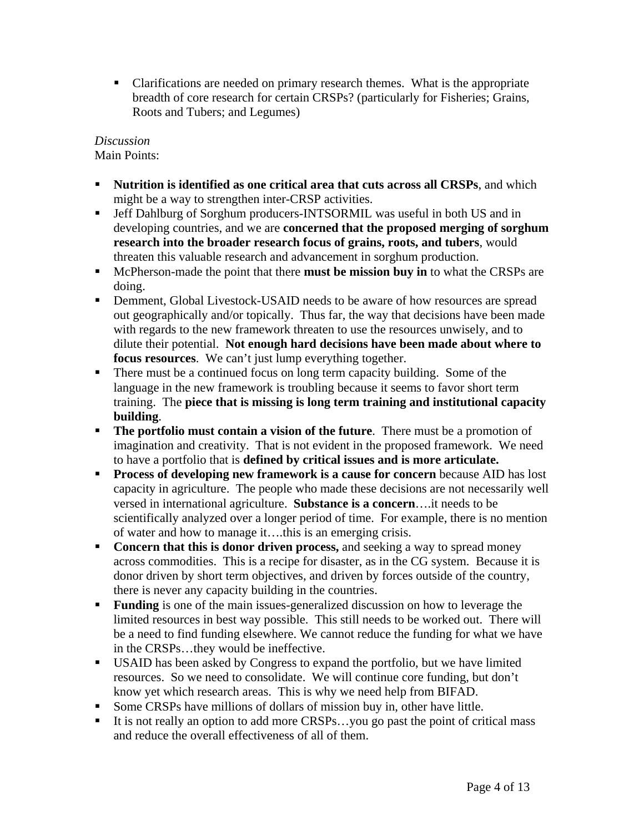Clarifications are needed on primary research themes. What is the appropriate breadth of core research for certain CRSPs? (particularly for Fisheries; Grains, Roots and Tubers; and Legumes)

## *Discussion*

Main Points:

- **Nutrition is identified as one critical area that cuts across all CRSPs, and which** might be a way to strengthen inter-CRSP activities.
- Jeff Dahlburg of Sorghum producers-INTSORMIL was useful in both US and in developing countries, and we are **concerned that the proposed merging of sorghum research into the broader research focus of grains, roots, and tubers**, would threaten this valuable research and advancement in sorghum production.
- **McPherson-made the point that there must be mission buy in to what the CRSPs are** doing.
- Demment, Global Livestock-USAID needs to be aware of how resources are spread out geographically and/or topically. Thus far, the way that decisions have been made with regards to the new framework threaten to use the resources unwisely, and to dilute their potential. **Not enough hard decisions have been made about where to focus resources**. We can't just lump everything together.
- There must be a continued focus on long term capacity building. Some of the language in the new framework is troubling because it seems to favor short term training. The **piece that is missing is long term training and institutional capacity building**.
- **The portfolio must contain a vision of the future**. There must be a promotion of imagination and creativity. That is not evident in the proposed framework. We need to have a portfolio that is **defined by critical issues and is more articulate.**
- **Process of developing new framework is a cause for concern** because AID has lost capacity in agriculture. The people who made these decisions are not necessarily well versed in international agriculture. **Substance is a concern**….it needs to be scientifically analyzed over a longer period of time. For example, there is no mention of water and how to manage it….this is an emerging crisis.
- **Concern that this is donor driven process,** and seeking a way to spread money across commodities. This is a recipe for disaster, as in the CG system. Because it is donor driven by short term objectives, and driven by forces outside of the country, there is never any capacity building in the countries.
- **Funding** is one of the main issues-generalized discussion on how to leverage the limited resources in best way possible. This still needs to be worked out. There will be a need to find funding elsewhere. We cannot reduce the funding for what we have in the CRSPs…they would be ineffective.
- USAID has been asked by Congress to expand the portfolio, but we have limited resources. So we need to consolidate. We will continue core funding, but don't know yet which research areas. This is why we need help from BIFAD.
- Some CRSPs have millions of dollars of mission buy in, other have little.
- It is not really an option to add more CRSPs...you go past the point of critical mass and reduce the overall effectiveness of all of them.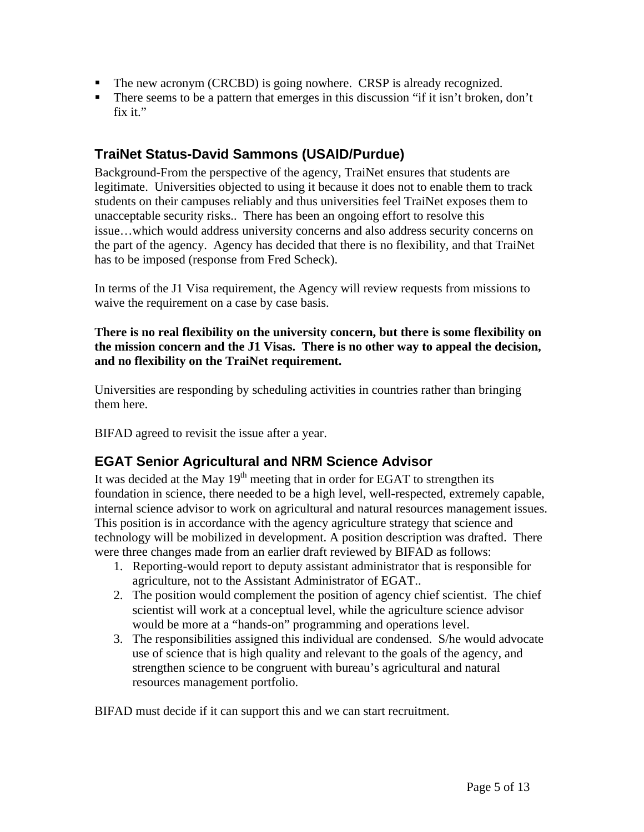- The new acronym (CRCBD) is going nowhere. CRSP is already recognized.
- There seems to be a pattern that emerges in this discussion "if it isn't broken, don't fix it."

# **TraiNet Status-David Sammons (USAID/Purdue)**

Background-From the perspective of the agency, TraiNet ensures that students are legitimate. Universities objected to using it because it does not to enable them to track students on their campuses reliably and thus universities feel TraiNet exposes them to unacceptable security risks.. There has been an ongoing effort to resolve this issue…which would address university concerns and also address security concerns on the part of the agency. Agency has decided that there is no flexibility, and that TraiNet has to be imposed (response from Fred Scheck).

In terms of the J1 Visa requirement, the Agency will review requests from missions to waive the requirement on a case by case basis.

**There is no real flexibility on the university concern, but there is some flexibility on the mission concern and the J1 Visas. There is no other way to appeal the decision, and no flexibility on the TraiNet requirement.** 

Universities are responding by scheduling activities in countries rather than bringing them here.

BIFAD agreed to revisit the issue after a year.

# **EGAT Senior Agricultural and NRM Science Advisor**

It was decided at the May  $19<sup>th</sup>$  meeting that in order for EGAT to strengthen its foundation in science, there needed to be a high level, well-respected, extremely capable, internal science advisor to work on agricultural and natural resources management issues. This position is in accordance with the agency agriculture strategy that science and technology will be mobilized in development. A position description was drafted. There were three changes made from an earlier draft reviewed by BIFAD as follows:

- 1. Reporting-would report to deputy assistant administrator that is responsible for agriculture, not to the Assistant Administrator of EGAT..
- 2. The position would complement the position of agency chief scientist. The chief scientist will work at a conceptual level, while the agriculture science advisor would be more at a "hands-on" programming and operations level.
- 3. The responsibilities assigned this individual are condensed. S/he would advocate use of science that is high quality and relevant to the goals of the agency, and strengthen science to be congruent with bureau's agricultural and natural resources management portfolio.

BIFAD must decide if it can support this and we can start recruitment.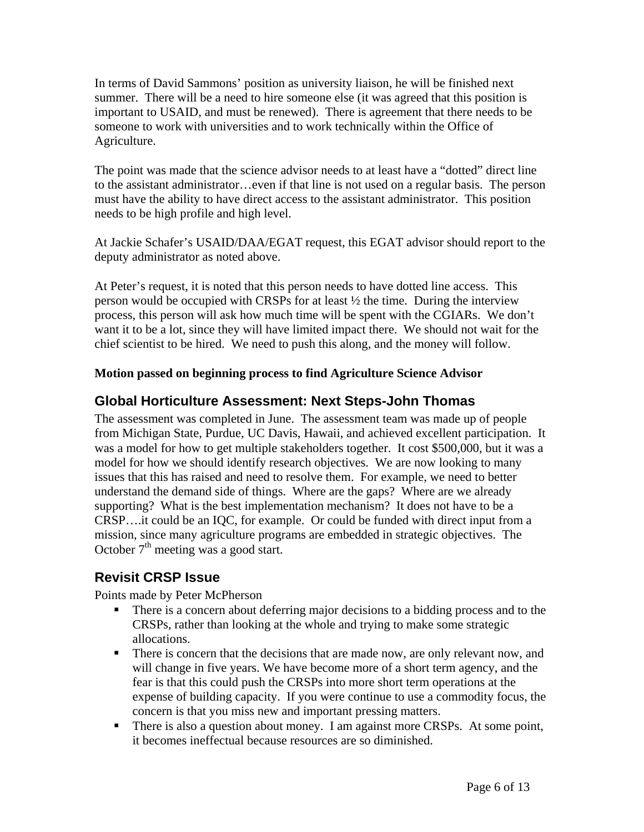In terms of David Sammons' position as university liaison, he will be finished next summer. There will be a need to hire someone else (it was agreed that this position is important to USAID, and must be renewed). There is agreement that there needs to be someone to work with universities and to work technically within the Office of Agriculture.

The point was made that the science advisor needs to at least have a "dotted" direct line to the assistant administrator…even if that line is not used on a regular basis. The person must have the ability to have direct access to the assistant administrator. This position needs to be high profile and high level.

At Jackie Schafer's USAID/DAA/EGAT request, this EGAT advisor should report to the deputy administrator as noted above.

At Peter's request, it is noted that this person needs to have dotted line access. This person would be occupied with CRSPs for at least ½ the time. During the interview process, this person will ask how much time will be spent with the CGIARs. We don't want it to be a lot, since they will have limited impact there. We should not wait for the chief scientist to be hired. We need to push this along, and the money will follow.

## **Motion passed on beginning process to find Agriculture Science Advisor**

# **Global Horticulture Assessment: Next Steps-John Thomas**

The assessment was completed in June. The assessment team was made up of people from Michigan State, Purdue, UC Davis, Hawaii, and achieved excellent participation. It was a model for how to get multiple stakeholders together. It cost \$500,000, but it was a model for how we should identify research objectives. We are now looking to many issues that this has raised and need to resolve them. For example, we need to better understand the demand side of things. Where are the gaps? Where are we already supporting? What is the best implementation mechanism? It does not have to be a CRSP….it could be an IQC, for example. Or could be funded with direct input from a mission, since many agriculture programs are embedded in strategic objectives. The October  $7<sup>th</sup>$  meeting was a good start.

# **Revisit CRSP Issue**

Points made by Peter McPherson

- There is a concern about deferring major decisions to a bidding process and to the CRSPs, rather than looking at the whole and trying to make some strategic allocations.
- There is concern that the decisions that are made now, are only relevant now, and will change in five years. We have become more of a short term agency, and the fear is that this could push the CRSPs into more short term operations at the expense of building capacity. If you were continue to use a commodity focus, the concern is that you miss new and important pressing matters.
- There is also a question about money. I am against more CRSPs. At some point, it becomes ineffectual because resources are so diminished.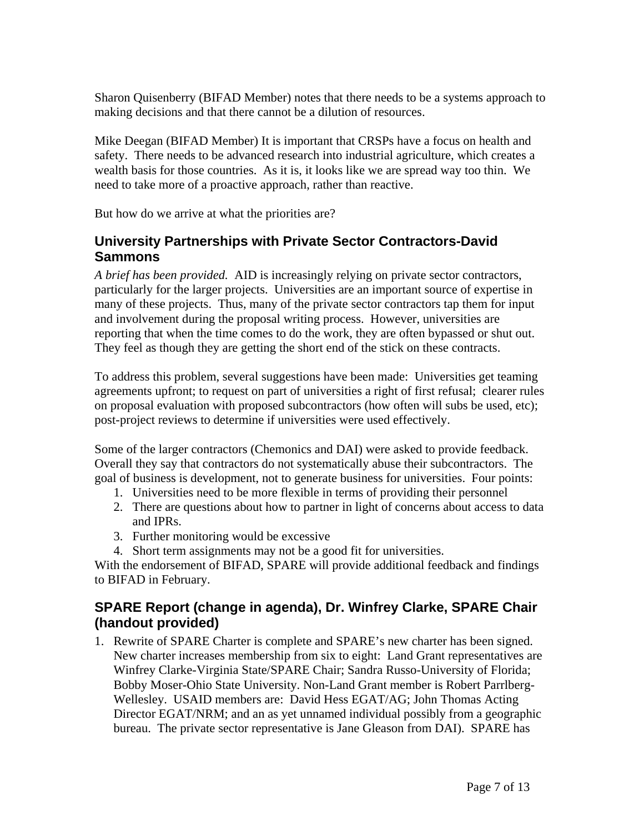Sharon Quisenberry (BIFAD Member) notes that there needs to be a systems approach to making decisions and that there cannot be a dilution of resources.

Mike Deegan (BIFAD Member) It is important that CRSPs have a focus on health and safety. There needs to be advanced research into industrial agriculture, which creates a wealth basis for those countries. As it is, it looks like we are spread way too thin. We need to take more of a proactive approach, rather than reactive.

But how do we arrive at what the priorities are?

# **University Partnerships with Private Sector Contractors-David Sammons**

*A brief has been provided.* AID is increasingly relying on private sector contractors, particularly for the larger projects. Universities are an important source of expertise in many of these projects. Thus, many of the private sector contractors tap them for input and involvement during the proposal writing process. However, universities are reporting that when the time comes to do the work, they are often bypassed or shut out. They feel as though they are getting the short end of the stick on these contracts.

To address this problem, several suggestions have been made: Universities get teaming agreements upfront; to request on part of universities a right of first refusal; clearer rules on proposal evaluation with proposed subcontractors (how often will subs be used, etc); post-project reviews to determine if universities were used effectively.

Some of the larger contractors (Chemonics and DAI) were asked to provide feedback. Overall they say that contractors do not systematically abuse their subcontractors. The goal of business is development, not to generate business for universities. Four points:

- 1. Universities need to be more flexible in terms of providing their personnel
- 2. There are questions about how to partner in light of concerns about access to data and IPRs.
- 3. Further monitoring would be excessive
- 4. Short term assignments may not be a good fit for universities.

With the endorsement of BIFAD, SPARE will provide additional feedback and findings to BIFAD in February.

# **SPARE Report (change in agenda), Dr. Winfrey Clarke, SPARE Chair (handout provided)**

1. Rewrite of SPARE Charter is complete and SPARE's new charter has been signed. New charter increases membership from six to eight: Land Grant representatives are Winfrey Clarke-Virginia State/SPARE Chair; Sandra Russo-University of Florida; Bobby Moser-Ohio State University. Non-Land Grant member is Robert Parrlberg-Wellesley. USAID members are: David Hess EGAT/AG; John Thomas Acting Director EGAT/NRM; and an as yet unnamed individual possibly from a geographic bureau. The private sector representative is Jane Gleason from DAI). SPARE has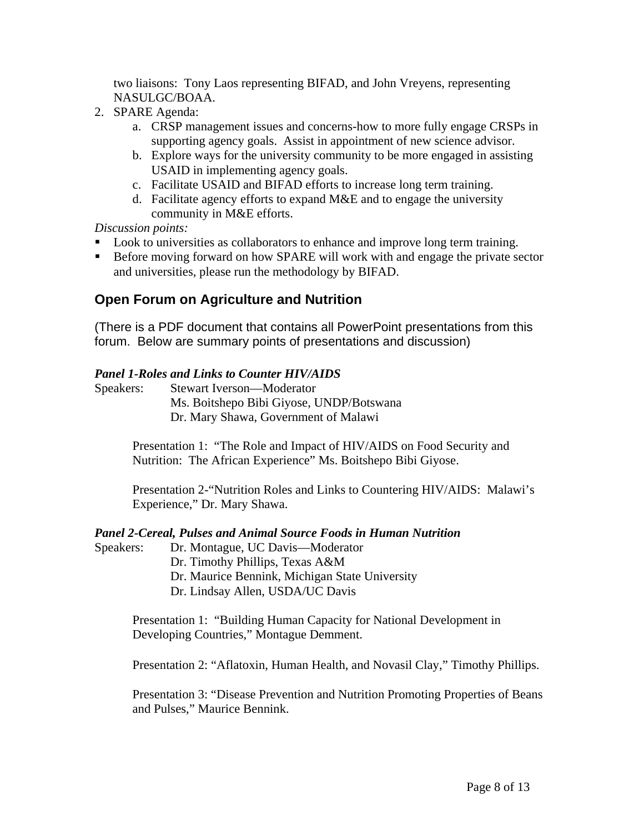two liaisons: Tony Laos representing BIFAD, and John Vreyens, representing NASULGC/BOAA.

- 2. SPARE Agenda:
	- a. CRSP management issues and concerns-how to more fully engage CRSPs in supporting agency goals. Assist in appointment of new science advisor.
	- b. Explore ways for the university community to be more engaged in assisting USAID in implementing agency goals.
	- c. Facilitate USAID and BIFAD efforts to increase long term training.
	- d. Facilitate agency efforts to expand M&E and to engage the university community in M&E efforts.

*Discussion points:* 

- Look to universities as collaborators to enhance and improve long term training.
- Before moving forward on how SPARE will work with and engage the private sector and universities, please run the methodology by BIFAD.

# **Open Forum on Agriculture and Nutrition**

(There is a PDF document that contains all PowerPoint presentations from this forum. Below are summary points of presentations and discussion)

### *Panel 1-Roles and Links to Counter HIV/AIDS*

Speakers: Stewart Iverson—Moderator Ms. Boitshepo Bibi Giyose, UNDP/Botswana Dr. Mary Shawa, Government of Malawi

> Presentation 1: "The Role and Impact of HIV/AIDS on Food Security and Nutrition: The African Experience" Ms. Boitshepo Bibi Giyose.

Presentation 2-"Nutrition Roles and Links to Countering HIV/AIDS: Malawi's Experience," Dr. Mary Shawa.

#### *Panel 2-Cereal, Pulses and Animal Source Foods in Human Nutrition*

Speakers: Dr. Montague, UC Davis—Moderator Dr. Timothy Phillips, Texas A&M Dr. Maurice Bennink, Michigan State University Dr. Lindsay Allen, USDA/UC Davis

> Presentation 1: "Building Human Capacity for National Development in Developing Countries," Montague Demment.

Presentation 2: "Aflatoxin, Human Health, and Novasil Clay," Timothy Phillips.

Presentation 3: "Disease Prevention and Nutrition Promoting Properties of Beans and Pulses," Maurice Bennink.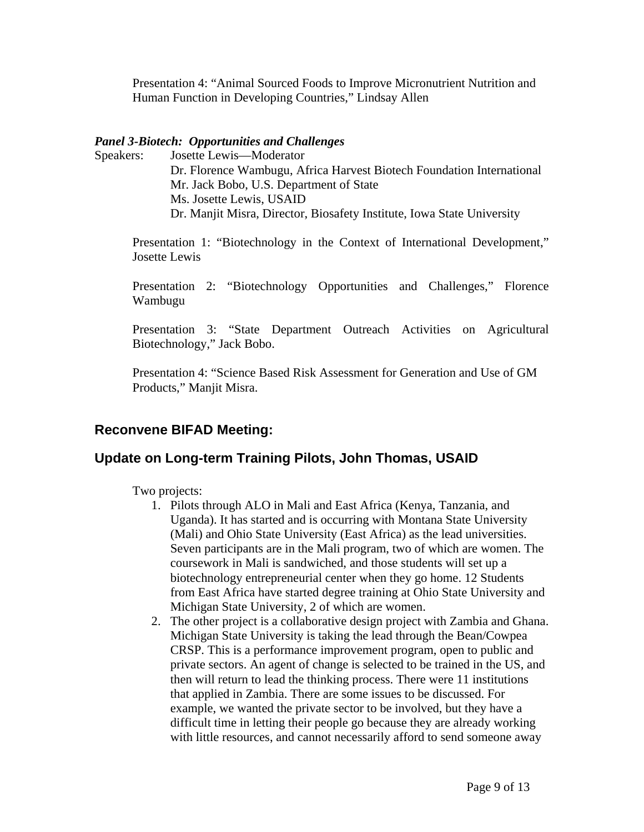Presentation 4: "Animal Sourced Foods to Improve Micronutrient Nutrition and Human Function in Developing Countries," Lindsay Allen

#### *Panel 3-Biotech: Opportunities and Challenges*

Speakers: Josette Lewis—Moderator Dr. Florence Wambugu, Africa Harvest Biotech Foundation International Mr. Jack Bobo, U.S. Department of State Ms. Josette Lewis, USAID Dr. Manjit Misra, Director, Biosafety Institute, Iowa State University

Presentation 1: "Biotechnology in the Context of International Development," Josette Lewis

Presentation 2: "Biotechnology Opportunities and Challenges," Florence Wambugu

Presentation 3: "State Department Outreach Activities on Agricultural Biotechnology," Jack Bobo.

Presentation 4: "Science Based Risk Assessment for Generation and Use of GM Products," Manjit Misra.

# **Reconvene BIFAD Meeting:**

## **Update on Long-term Training Pilots, John Thomas, USAID**

Two projects:

- 1. Pilots through ALO in Mali and East Africa (Kenya, Tanzania, and Uganda). It has started and is occurring with Montana State University (Mali) and Ohio State University (East Africa) as the lead universities. Seven participants are in the Mali program, two of which are women. The coursework in Mali is sandwiched, and those students will set up a biotechnology entrepreneurial center when they go home. 12 Students from East Africa have started degree training at Ohio State University and Michigan State University, 2 of which are women.
- 2. The other project is a collaborative design project with Zambia and Ghana. Michigan State University is taking the lead through the Bean/Cowpea CRSP. This is a performance improvement program, open to public and private sectors. An agent of change is selected to be trained in the US, and then will return to lead the thinking process. There were 11 institutions that applied in Zambia. There are some issues to be discussed. For example, we wanted the private sector to be involved, but they have a difficult time in letting their people go because they are already working with little resources, and cannot necessarily afford to send someone away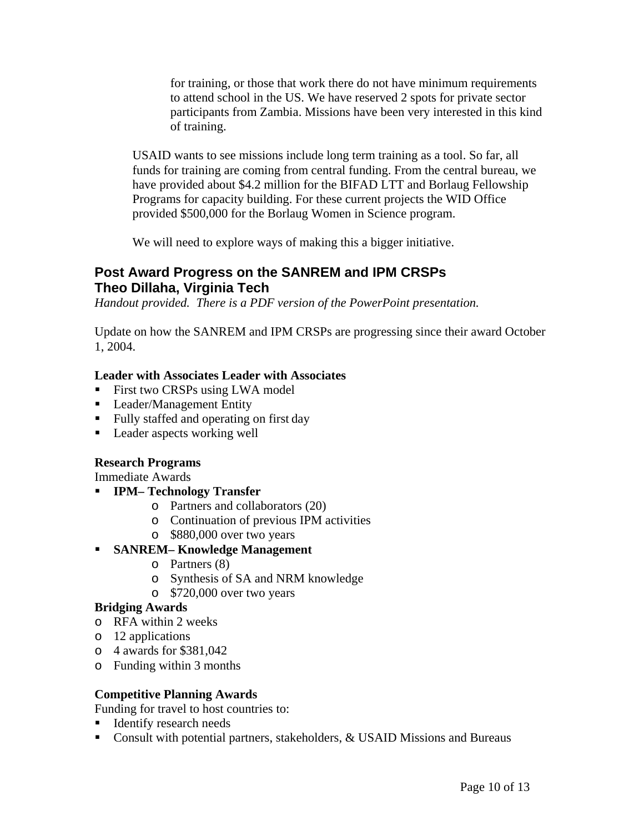for training, or those that work there do not have minimum requirements to attend school in the US. We have reserved 2 spots for private sector participants from Zambia. Missions have been very interested in this kind of training.

USAID wants to see missions include long term training as a tool. So far, all funds for training are coming from central funding. From the central bureau, we have provided about \$4.2 million for the BIFAD LTT and Borlaug Fellowship Programs for capacity building. For these current projects the WID Office provided \$500,000 for the Borlaug Women in Science program.

We will need to explore ways of making this a bigger initiative.

## **Post Award Progress on the SANREM and IPM CRSPs Theo Dillaha, Virginia Tech**

*Handout provided. There is a PDF version of the PowerPoint presentation.* 

Update on how the SANREM and IPM CRSPs are progressing since their award October 1, 2004.

### **Leader with Associates Leader with Associates**

- First two CRSPs using LWA model
- **Leader/Management Entity**
- Fully staffed and operating on first day
- **Leader aspects working well**

### **Research Programs**

Immediate Awards

- **IPM– Technology Transfer** 
	- o Partners and collaborators (20)
	- o Continuation of previous IPM activities
	- o \$880,000 over two years

## **SANREM– Knowledge Management**

- o Partners (8)
- o Synthesis of SA and NRM knowledge
- o \$720,000 over two years

### **Bridging Awards**

- o RFA within 2 weeks
- o 12 applications
- o 4 awards for \$381,042
- o Funding within 3 months

### **Competitive Planning Awards**

Funding for travel to host countries to:

- **IDENTIFY** research needs
- Consult with potential partners, stakeholders, & USAID Missions and Bureaus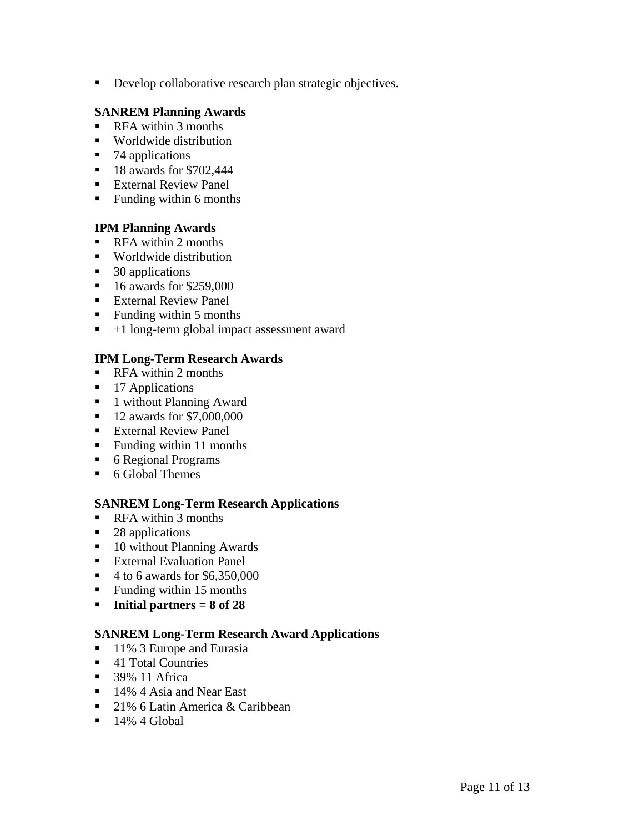Develop collaborative research plan strategic objectives.

### **SANREM Planning Awards**

- RFA within 3 months
- **Worldwide distribution**
- $\blacksquare$  74 applications
- **18 awards for \$702,444**
- **External Review Panel**
- Funding within 6 months

### **IPM Planning Awards**

- RFA within 2 months
- Worldwide distribution
- $\blacksquare$  30 applications
- $\blacksquare$  16 awards for \$259,000
- **External Review Panel**
- Funding within  $5$  months
- $+1$  long-term global impact assessment award

### **IPM Long-Term Research Awards**

- RFA within 2 months
- $\blacksquare$  17 Applications
- 1 without Planning Award
- **12 awards for \$7,000,000**
- External Review Panel
- Funding within 11 months
- 6 Regional Programs
- 6 Global Themes

#### **SANREM Long-Term Research Applications**

- **RFA** within 3 months
- 28 applications
- 10 without Planning Awards
- **External Evaluation Panel**
- $\blacksquare$  4 to 6 awards for \$6,350,000
- Funding within 15 months
- **Initial partners = 8 of 28**

#### **SANREM Long-Term Research Award Applications**

- 11% 3 Europe and Eurasia
- 41 Total Countries
- **39% 11 Africa**
- 14% 4 Asia and Near East
- 21% 6 Latin America & Caribbean
- $\blacksquare$  14% 4 Global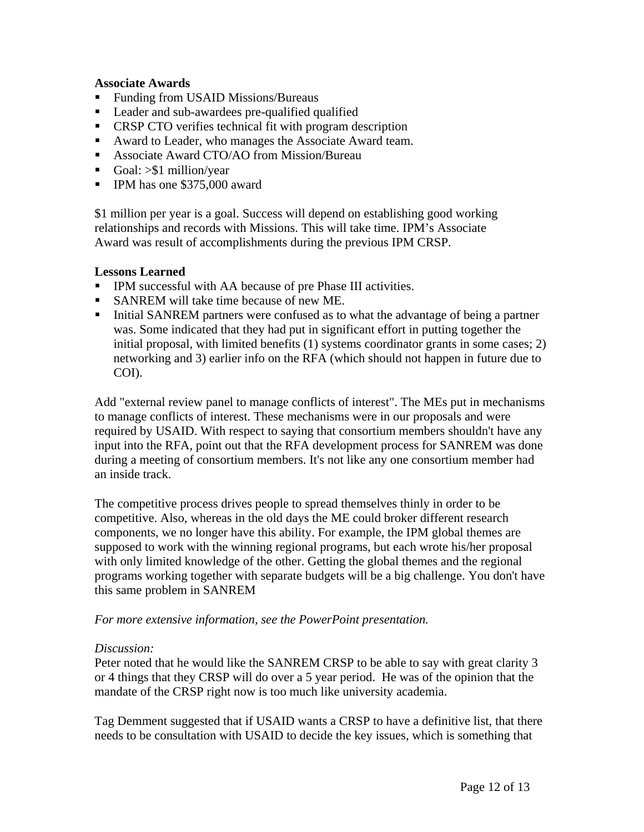### **Associate Awards**

- Funding from USAID Missions/Bureaus
- Leader and sub-awardees pre-qualified qualified
- **CRSP CTO** verifies technical fit with program description
- Award to Leader, who manages the Associate Award team.
- **Associate Award CTO/AO from Mission/Bureau**
- Goal:  $> $1$  million/year
- **IPM** has one \$375,000 award

\$1 million per year is a goal. Success will depend on establishing good working relationships and records with Missions. This will take time. IPM's Associate Award was result of accomplishments during the previous IPM CRSP.

### **Lessons Learned**

- IPM successful with AA because of pre Phase III activities.
- SANREM will take time because of new ME.
- Initial SANREM partners were confused as to what the advantage of being a partner was. Some indicated that they had put in significant effort in putting together the initial proposal, with limited benefits (1) systems coordinator grants in some cases; 2) networking and 3) earlier info on the RFA (which should not happen in future due to COI).

Add "external review panel to manage conflicts of interest". The MEs put in mechanisms to manage conflicts of interest. These mechanisms were in our proposals and were required by USAID. With respect to saying that consortium members shouldn't have any input into the RFA, point out that the RFA development process for SANREM was done during a meeting of consortium members. It's not like any one consortium member had an inside track.

The competitive process drives people to spread themselves thinly in order to be competitive. Also, whereas in the old days the ME could broker different research components, we no longer have this ability. For example, the IPM global themes are supposed to work with the winning regional programs, but each wrote his/her proposal with only limited knowledge of the other. Getting the global themes and the regional programs working together with separate budgets will be a big challenge. You don't have this same problem in SANREM

### *For more extensive information, see the PowerPoint presentation.*

#### *Discussion:*

Peter noted that he would like the SANREM CRSP to be able to say with great clarity 3 or 4 things that they CRSP will do over a 5 year period. He was of the opinion that the mandate of the CRSP right now is too much like university academia.

Tag Demment suggested that if USAID wants a CRSP to have a definitive list, that there needs to be consultation with USAID to decide the key issues, which is something that